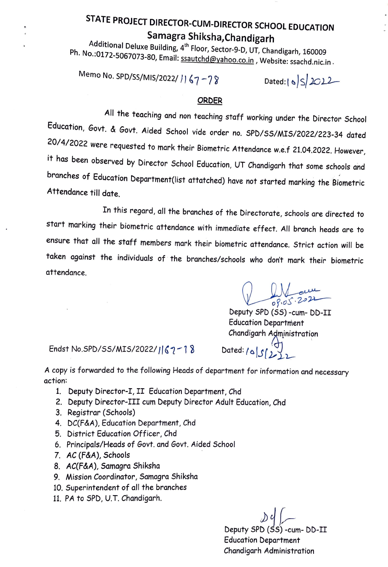## **STATE PROJECT DIRECTOR-CUM-DIRECTOR SCHOOL EDUCATION Samagra Shiksha,Chandigarh**

ng Aquitional Deluxe Building, 4<sup>th</sup> Floor, Sector-9-D, UT, Chandigarh, 160009 Ph. No.:0172-5067073-80, Email: ssautchd@yahoo.co.in, Website: ssachd.nic.in.

Memo No. SPD/SS/MIS/2022/ / 1 67-7 8

Dated: | 6 | S | 2012

## **ORDER**

All the teaching and non teaching staff working under the Director School Education, Govt. & Govt. Aided School vide order no. SPD/SS/MIS/2022/223-34 dated 20/4/2022 were requested to mark their Biometric Attendance w.e.f 21.04.2022. However, it has been observed by Director School Education, UT Chandigarh that some schools and branches of Education Department(list attatched) have not started marking the Biometric Attendance till date.

In this regard, all the branches of the Directorate, schools are directed to start marking their biometric attendance with immediate effect. All branch heads are to ensure that all the staff members mark their biometric attendance. Strict action will be taken against the individuals of · the branches/schools who don't mark their biometric attendance.

28.05.2022

Deputy SPD (SS) -cum- DD-II Education Department Chandigarh Administration

Endst No.SPD/SS/MIS/2022/167-18

Dated: *fe!J( ~cg\_\_'l--*

A copy is forwarded to the following Heads of department for information and necessary action:

- 1. Deputy Director-I, II Education Department, Chd
- 2. Deputy Director-III cum Deputy Director Adult Education, Chd
- 3. Registrar (Schools)
- 4. DC(f&A), Education Department, Chd
- 5. District Education Officer, Chd
- 6. Principals/Heads of Govt. and Govt. Aided School
- 7. AC (f&A), Schools
- 8. AC(f&A), Samagra Shiksha
- 9. Mission Coordinator, Samagra Shiksha
- 10. Superintendent of all the branches
- 11. PA to SPD, U.T. Chandigarh.

Deputy SPD (SS) -cum- DD-II Education Department Chandigarh Administration